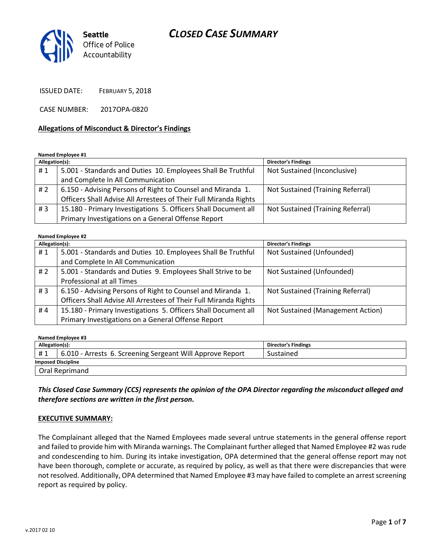# CLOSED CASE SUMMARY



ISSUED DATE: FEBRUARY 5, 2018

CASE NUMBER: 2017OPA-0820

#### Allegations of Misconduct & Director's Findings

Named Employee #1

| Allegation(s): |                                                                  | <b>Director's Findings</b>        |
|----------------|------------------------------------------------------------------|-----------------------------------|
| #1             | 5.001 - Standards and Duties 10. Employees Shall Be Truthful     | Not Sustained (Inconclusive)      |
|                | and Complete In All Communication                                |                                   |
| #2             | 6.150 - Advising Persons of Right to Counsel and Miranda 1.      | Not Sustained (Training Referral) |
|                | Officers Shall Advise All Arrestees of Their Full Miranda Rights |                                   |
| #3             | 15.180 - Primary Investigations 5. Officers Shall Document all   | Not Sustained (Training Referral) |
|                | Primary Investigations on a General Offense Report               |                                   |

#### Named Employee #2

| Allegation(s): |                                                                  | <b>Director's Findings</b>        |
|----------------|------------------------------------------------------------------|-----------------------------------|
| #1             | 5.001 - Standards and Duties 10. Employees Shall Be Truthful     | Not Sustained (Unfounded)         |
|                | and Complete In All Communication                                |                                   |
| #2             | 5.001 - Standards and Duties 9. Employees Shall Strive to be     | Not Sustained (Unfounded)         |
|                | Professional at all Times                                        |                                   |
| #3             | 6.150 - Advising Persons of Right to Counsel and Miranda 1.      | Not Sustained (Training Referral) |
|                | Officers Shall Advise All Arrestees of Their Full Miranda Rights |                                   |
| #4             | 15.180 - Primary Investigations 5. Officers Shall Document all   | Not Sustained (Management Action) |
|                | Primary Investigations on a General Offense Report               |                                   |

| Named Employee #3         |                                                           |                            |  |  |
|---------------------------|-----------------------------------------------------------|----------------------------|--|--|
| Allegation(s):            |                                                           | <b>Director's Findings</b> |  |  |
| #1                        | 6.010 - Arrests 6. Screening Sergeant Will Approve Report | Sustained                  |  |  |
| <b>Imposed Discipline</b> |                                                           |                            |  |  |
| Oral Reprimand            |                                                           |                            |  |  |

### This Closed Case Summary (CCS) represents the opinion of the OPA Director regarding the misconduct alleged and therefore sections are written in the first person.

#### EXECUTIVE SUMMARY:

The Complainant alleged that the Named Employees made several untrue statements in the general offense report and failed to provide him with Miranda warnings. The Complainant further alleged that Named Employee #2 was rude and condescending to him. During its intake investigation, OPA determined that the general offense report may not have been thorough, complete or accurate, as required by policy, as well as that there were discrepancies that were not resolved. Additionally, OPA determined that Named Employee #3 may have failed to complete an arrest screening report as required by policy.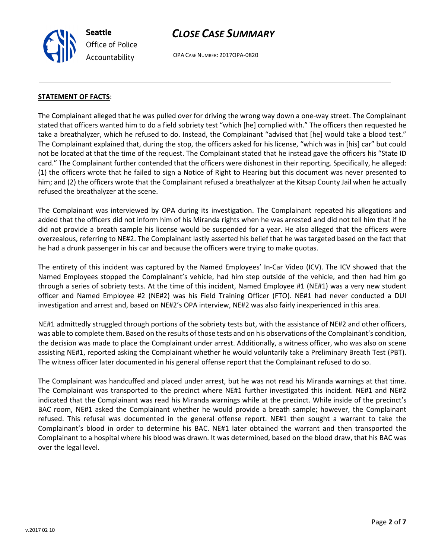Seattle Office of Police Accountability

# CLOSE CASE SUMMARY

OPA CASE NUMBER: 2017OPA-0820

## STATEMENT OF FACTS:

The Complainant alleged that he was pulled over for driving the wrong way down a one-way street. The Complainant stated that officers wanted him to do a field sobriety test "which [he] complied with." The officers then requested he take a breathalyzer, which he refused to do. Instead, the Complainant "advised that [he] would take a blood test." The Complainant explained that, during the stop, the officers asked for his license, "which was in [his] car" but could not be located at that the time of the request. The Complainant stated that he instead gave the officers his "State ID card." The Complainant further contended that the officers were dishonest in their reporting. Specifically, he alleged: (1) the officers wrote that he failed to sign a Notice of Right to Hearing but this document was never presented to him; and (2) the officers wrote that the Complainant refused a breathalyzer at the Kitsap County Jail when he actually refused the breathalyzer at the scene.

The Complainant was interviewed by OPA during its investigation. The Complainant repeated his allegations and added that the officers did not inform him of his Miranda rights when he was arrested and did not tell him that if he did not provide a breath sample his license would be suspended for a year. He also alleged that the officers were overzealous, referring to NE#2. The Complainant lastly asserted his belief that he was targeted based on the fact that he had a drunk passenger in his car and because the officers were trying to make quotas.

The entirety of this incident was captured by the Named Employees' In-Car Video (ICV). The ICV showed that the Named Employees stopped the Complainant's vehicle, had him step outside of the vehicle, and then had him go through a series of sobriety tests. At the time of this incident, Named Employee #1 (NE#1) was a very new student officer and Named Employee #2 (NE#2) was his Field Training Officer (FTO). NE#1 had never conducted a DUI investigation and arrest and, based on NE#2's OPA interview, NE#2 was also fairly inexperienced in this area.

NE#1 admittedly struggled through portions of the sobriety tests but, with the assistance of NE#2 and other officers, was able to complete them. Based on the results of those tests and on his observations of the Complainant's condition, the decision was made to place the Complainant under arrest. Additionally, a witness officer, who was also on scene assisting NE#1, reported asking the Complainant whether he would voluntarily take a Preliminary Breath Test (PBT). The witness officer later documented in his general offense report that the Complainant refused to do so.

The Complainant was handcuffed and placed under arrest, but he was not read his Miranda warnings at that time. The Complainant was transported to the precinct where NE#1 further investigated this incident. NE#1 and NE#2 indicated that the Complainant was read his Miranda warnings while at the precinct. While inside of the precinct's BAC room, NE#1 asked the Complainant whether he would provide a breath sample; however, the Complainant refused. This refusal was documented in the general offense report. NE#1 then sought a warrant to take the Complainant's blood in order to determine his BAC. NE#1 later obtained the warrant and then transported the Complainant to a hospital where his blood was drawn. It was determined, based on the blood draw, that his BAC was over the legal level.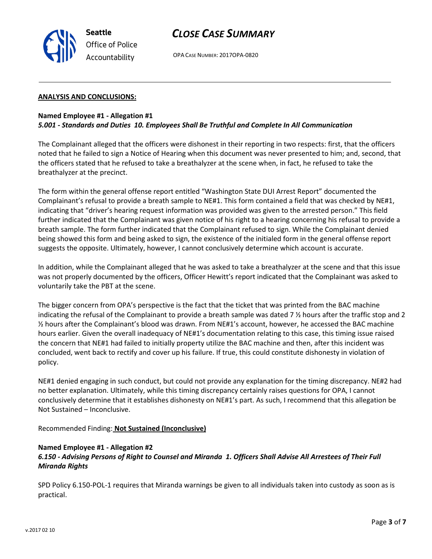v.2017 02 10

# CLOSE CASE SUMMARY

OPA CASE NUMBER: 2017OPA-0820

#### ANALYSIS AND CONCLUSIONS:

#### Named Employee #1 - Allegation #1 5.001 - Standards and Duties 10. Employees Shall Be Truthful and Complete In All Communication

The Complainant alleged that the officers were dishonest in their reporting in two respects: first, that the officers noted that he failed to sign a Notice of Hearing when this document was never presented to him; and, second, that the officers stated that he refused to take a breathalyzer at the scene when, in fact, he refused to take the breathalyzer at the precinct.

The form within the general offense report entitled "Washington State DUI Arrest Report" documented the Complainant's refusal to provide a breath sample to NE#1. This form contained a field that was checked by NE#1, indicating that "driver's hearing request information was provided was given to the arrested person." This field further indicated that the Complainant was given notice of his right to a hearing concerning his refusal to provide a breath sample. The form further indicated that the Complainant refused to sign. While the Complainant denied being showed this form and being asked to sign, the existence of the initialed form in the general offense report suggests the opposite. Ultimately, however, I cannot conclusively determine which account is accurate.

In addition, while the Complainant alleged that he was asked to take a breathalyzer at the scene and that this issue was not properly documented by the officers, Officer Hewitt's report indicated that the Complainant was asked to voluntarily take the PBT at the scene.

The bigger concern from OPA's perspective is the fact that the ticket that was printed from the BAC machine indicating the refusal of the Complainant to provide a breath sample was dated 7 ½ hours after the traffic stop and 2 ½ hours after the Complainant's blood was drawn. From NE#1's account, however, he accessed the BAC machine hours earlier. Given the overall inadequacy of NE#1's documentation relating to this case, this timing issue raised the concern that NE#1 had failed to initially property utilize the BAC machine and then, after this incident was concluded, went back to rectify and cover up his failure. If true, this could constitute dishonesty in violation of policy.

NE#1 denied engaging in such conduct, but could not provide any explanation for the timing discrepancy. NE#2 had no better explanation. Ultimately, while this timing discrepancy certainly raises questions for OPA, I cannot conclusively determine that it establishes dishonesty on NE#1's part. As such, I recommend that this allegation be Not Sustained – Inconclusive.

Recommended Finding: Not Sustained (Inconclusive)

#### Named Employee #1 - Allegation #2

# 6.150 - Advising Persons of Right to Counsel and Miranda 1. Officers Shall Advise All Arrestees of Their Full Miranda Rights

SPD Policy 6.150-POL-1 requires that Miranda warnings be given to all individuals taken into custody as soon as is practical.



Seattle Office of Police Accountability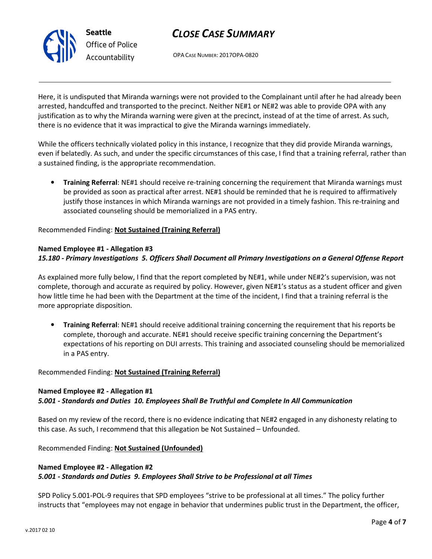

# CLOSE CASE SUMMARY

OPA CASE NUMBER: 2017OPA-0820

Here, it is undisputed that Miranda warnings were not provided to the Complainant until after he had already been arrested, handcuffed and transported to the precinct. Neither NE#1 or NE#2 was able to provide OPA with any justification as to why the Miranda warning were given at the precinct, instead of at the time of arrest. As such, there is no evidence that it was impractical to give the Miranda warnings immediately.

While the officers technically violated policy in this instance, I recognize that they did provide Miranda warnings, even if belatedly. As such, and under the specific circumstances of this case, I find that a training referral, rather than a sustained finding, is the appropriate recommendation.

• Training Referral: NE#1 should receive re-training concerning the requirement that Miranda warnings must be provided as soon as practical after arrest. NE#1 should be reminded that he is required to affirmatively justify those instances in which Miranda warnings are not provided in a timely fashion. This re-training and associated counseling should be memorialized in a PAS entry.

Recommended Finding: Not Sustained (Training Referral)

### Named Employee #1 - Allegation #3 15.180 - Primary Investigations 5. Officers Shall Document all Primary Investigations on a General Offense Report

As explained more fully below, I find that the report completed by NE#1, while under NE#2's supervision, was not complete, thorough and accurate as required by policy. However, given NE#1's status as a student officer and given how little time he had been with the Department at the time of the incident, I find that a training referral is the more appropriate disposition.

• Training Referral: NE#1 should receive additional training concerning the requirement that his reports be complete, thorough and accurate. NE#1 should receive specific training concerning the Department's expectations of his reporting on DUI arrests. This training and associated counseling should be memorialized in a PAS entry.

## Recommended Finding: Not Sustained (Training Referral)

#### Named Employee #2 - Allegation #1

## 5.001 - Standards and Duties 10. Employees Shall Be Truthful and Complete In All Communication

Based on my review of the record, there is no evidence indicating that NE#2 engaged in any dishonesty relating to this case. As such, I recommend that this allegation be Not Sustained – Unfounded.

Recommended Finding: Not Sustained (Unfounded)

#### Named Employee #2 - Allegation #2

## 5.001 - Standards and Duties 9. Employees Shall Strive to be Professional at all Times

SPD Policy 5.001-POL-9 requires that SPD employees "strive to be professional at all times." The policy further instructs that "employees may not engage in behavior that undermines public trust in the Department, the officer,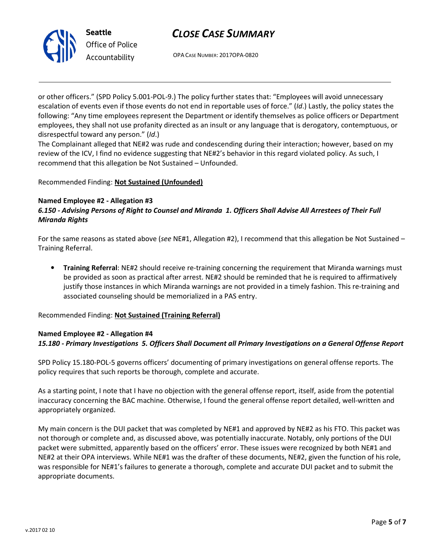# CLOSE CASE SUMMARY



Office of Police Accountability

OPA CASE NUMBER: 2017OPA-0820

or other officers." (SPD Policy 5.001-POL-9.) The policy further states that: "Employees will avoid unnecessary escalation of events even if those events do not end in reportable uses of force." (Id.) Lastly, the policy states the following: "Any time employees represent the Department or identify themselves as police officers or Department employees, they shall not use profanity directed as an insult or any language that is derogatory, contemptuous, or disrespectful toward any person." (Id.)

The Complainant alleged that NE#2 was rude and condescending during their interaction; however, based on my review of the ICV, I find no evidence suggesting that NE#2's behavior in this regard violated policy. As such, I recommend that this allegation be Not Sustained – Unfounded.

# Recommended Finding: Not Sustained (Unfounded)

#### Named Employee #2 - Allegation #3

6.150 - Advising Persons of Right to Counsel and Miranda 1. Officers Shall Advise All Arrestees of Their Full Miranda Rights

For the same reasons as stated above (see NE#1, Allegation #2), I recommend that this allegation be Not Sustained – Training Referral.

• Training Referral: NE#2 should receive re-training concerning the requirement that Miranda warnings must be provided as soon as practical after arrest. NE#2 should be reminded that he is required to affirmatively justify those instances in which Miranda warnings are not provided in a timely fashion. This re-training and associated counseling should be memorialized in a PAS entry.

Recommended Finding: Not Sustained (Training Referral)

## Named Employee #2 - Allegation #4 15.180 - Primary Investigations 5. Officers Shall Document all Primary Investigations on a General Offense Report

SPD Policy 15.180-POL-5 governs officers' documenting of primary investigations on general offense reports. The policy requires that such reports be thorough, complete and accurate.

As a starting point, I note that I have no objection with the general offense report, itself, aside from the potential inaccuracy concerning the BAC machine. Otherwise, I found the general offense report detailed, well-written and appropriately organized.

My main concern is the DUI packet that was completed by NE#1 and approved by NE#2 as his FTO. This packet was not thorough or complete and, as discussed above, was potentially inaccurate. Notably, only portions of the DUI packet were submitted, apparently based on the officers' error. These issues were recognized by both NE#1 and NE#2 at their OPA interviews. While NE#1 was the drafter of these documents, NE#2, given the function of his role, was responsible for NE#1's failures to generate a thorough, complete and accurate DUI packet and to submit the appropriate documents.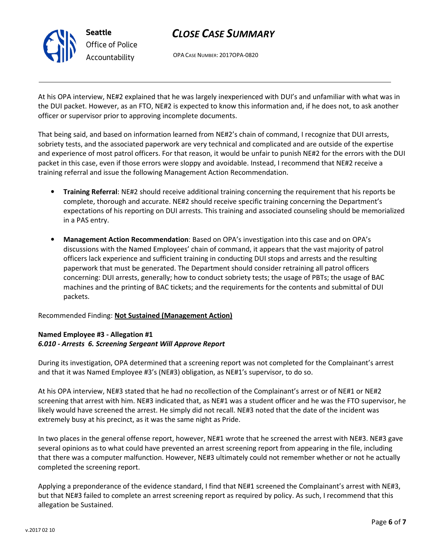

# CLOSE CASE SUMMARY

OPA CASE NUMBER: 2017OPA-0820

At his OPA interview, NE#2 explained that he was largely inexperienced with DUI's and unfamiliar with what was in the DUI packet. However, as an FTO, NE#2 is expected to know this information and, if he does not, to ask another officer or supervisor prior to approving incomplete documents.

That being said, and based on information learned from NE#2's chain of command, I recognize that DUI arrests, sobriety tests, and the associated paperwork are very technical and complicated and are outside of the expertise and experience of most patrol officers. For that reason, it would be unfair to punish NE#2 for the errors with the DUI packet in this case, even if those errors were sloppy and avoidable. Instead, I recommend that NE#2 receive a training referral and issue the following Management Action Recommendation.

- Training Referral: NE#2 should receive additional training concerning the requirement that his reports be complete, thorough and accurate. NE#2 should receive specific training concerning the Department's expectations of his reporting on DUI arrests. This training and associated counseling should be memorialized in a PAS entry.
- Management Action Recommendation: Based on OPA's investigation into this case and on OPA's discussions with the Named Employees' chain of command, it appears that the vast majority of patrol officers lack experience and sufficient training in conducting DUI stops and arrests and the resulting paperwork that must be generated. The Department should consider retraining all patrol officers concerning: DUI arrests, generally; how to conduct sobriety tests; the usage of PBTs; the usage of BAC machines and the printing of BAC tickets; and the requirements for the contents and submittal of DUI packets.

## Recommended Finding: Not Sustained (Management Action)

#### Named Employee #3 - Allegation #1 6.010 - Arrests 6. Screening Sergeant Will Approve Report

During its investigation, OPA determined that a screening report was not completed for the Complainant's arrest and that it was Named Employee #3's (NE#3) obligation, as NE#1's supervisor, to do so.

At his OPA interview, NE#3 stated that he had no recollection of the Complainant's arrest or of NE#1 or NE#2 screening that arrest with him. NE#3 indicated that, as NE#1 was a student officer and he was the FTO supervisor, he likely would have screened the arrest. He simply did not recall. NE#3 noted that the date of the incident was extremely busy at his precinct, as it was the same night as Pride.

In two places in the general offense report, however, NE#1 wrote that he screened the arrest with NE#3. NE#3 gave several opinions as to what could have prevented an arrest screening report from appearing in the file, including that there was a computer malfunction. However, NE#3 ultimately could not remember whether or not he actually completed the screening report.

Applying a preponderance of the evidence standard, I find that NE#1 screened the Complainant's arrest with NE#3, but that NE#3 failed to complete an arrest screening report as required by policy. As such, I recommend that this allegation be Sustained.